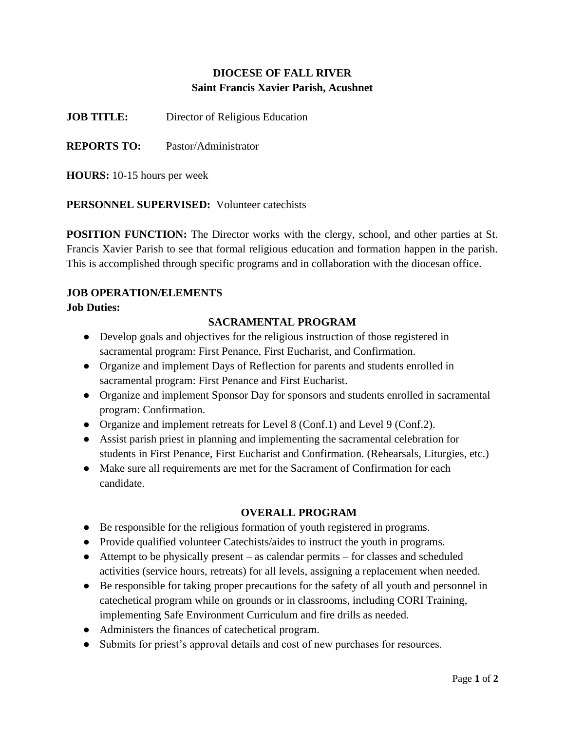# **DIOCESE OF FALL RIVER Saint Francis Xavier Parish, Acushnet**

**JOB TITLE:** Director of Religious Education

**REPORTS TO:** Pastor/Administrator

**HOURS:** 10-15 hours per week

**PERSONNEL SUPERVISED:** Volunteer catechists

**POSITION FUNCTION:** The Director works with the clergy, school, and other parties at St. Francis Xavier Parish to see that formal religious education and formation happen in the parish. This is accomplished through specific programs and in collaboration with the diocesan office.

# **JOB OPERATION/ELEMENTS**

#### **Job Duties:**

# **SACRAMENTAL PROGRAM**

- Develop goals and objectives for the religious instruction of those registered in sacramental program: First Penance, First Eucharist, and Confirmation.
- Organize and implement Days of Reflection for parents and students enrolled in sacramental program: First Penance and First Eucharist.
- Organize and implement Sponsor Day for sponsors and students enrolled in sacramental program: Confirmation.
- Organize and implement retreats for Level 8 (Conf.1) and Level 9 (Conf.2).
- Assist parish priest in planning and implementing the sacramental celebration for students in First Penance, First Eucharist and Confirmation. (Rehearsals, Liturgies, etc.)
- Make sure all requirements are met for the Sacrament of Confirmation for each candidate.

### **OVERALL PROGRAM**

- Be responsible for the religious formation of youth registered in programs.
- Provide qualified volunteer Catechists/aides to instruct the youth in programs.
- Attempt to be physically present as calendar permits for classes and scheduled activities (service hours, retreats) for all levels, assigning a replacement when needed.
- Be responsible for taking proper precautions for the safety of all youth and personnel in catechetical program while on grounds or in classrooms, including CORI Training, implementing Safe Environment Curriculum and fire drills as needed.
- Administers the finances of catechetical program.
- Submits for priest's approval details and cost of new purchases for resources.